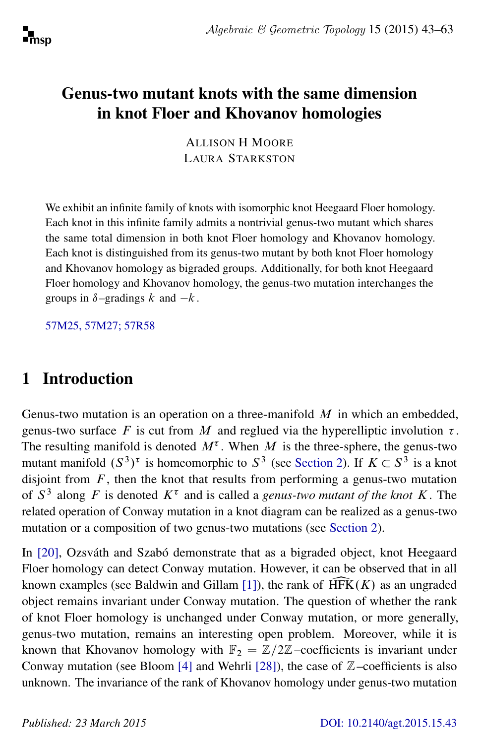# Genus-two mutant knots with the same dimension in knot Floer and Khovanov homologies

ALLISON H MOORE LAURA STARKSTON

We exhibit an infinite family of knots with isomorphic knot Heegaard Floer homology. Each knot in this infinite family admits a nontrivial genus-two mutant which shares the same total dimension in both knot Floer homology and Khovanov homology. Each knot is distinguished from its genus-two mutant by both knot Floer homology and Khovanov homology as bigraded groups. Additionally, for both knot Heegaard Floer homology and Khovanov homology, the genus-two mutation interchanges the groups in  $\delta$ –gradings k and –k.

[57M25, 57M27; 57R58](http://www.ams.org/mathscinet/search/mscdoc.html?code=57M25, 57M27, 57R58)

# 1 Introduction

Genus-two mutation is an operation on a three-manifold  $M$  in which an embedded, genus-two surface F is cut from M and reglued via the hyperelliptic involution  $\tau$ . The resulting manifold is denoted  $M^{\tau}$ . When M is the three-sphere, the genus-two mutant manifold  $(S^3)^\tau$  is homeomorphic to  $S^3$  (see [Section 2\)](#page-2-0). If  $K \subset S^3$  is a knot disjoint from  $F$ , then the knot that results from performing a genus-two mutation of  $S<sup>3</sup>$  along F is denoted  $K<sup>\tau</sup>$  and is called a *genus-two mutant of the knot* K. The related operation of Conway mutation in a knot diagram can be realized as a genus-two mutation or a composition of two genus-two mutations (see [Section 2\)](#page-2-0).

In [\[20\]](#page-19-0), Ozsváth and Szabó demonstrate that as a bigraded object, knot Heegaard Floer homology can detect Conway mutation. However, it can be observed that in all known examples (see Baldwin and Gillam [\[1\]](#page-18-0)), the rank of  $HFK(K)$  as an ungraded object remains invariant under Conway mutation. The question of whether the rank of knot Floer homology is unchanged under Conway mutation, or more generally, genus-two mutation, remains an interesting open problem. Moreover, while it is known that Khovanov homology with  $\mathbb{F}_2 = \mathbb{Z}/2\mathbb{Z}$ –coefficients is invariant under Conway mutation (see Bloom [\[4\]](#page-18-1) and Wehrli [\[28\]](#page-20-0)), the case of  $\mathbb{Z}$ –coefficients is also unknown. The invariance of the rank of Khovanov homology under genus-two mutation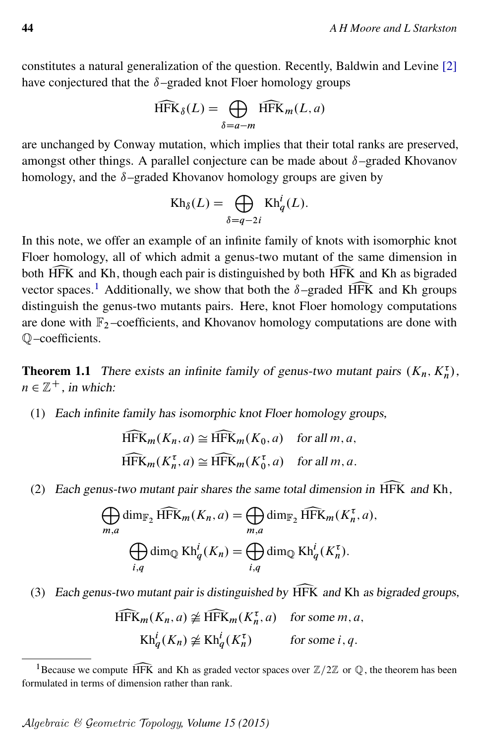constitutes a natural generalization of the question. Recently, Baldwin and Levine [\[2\]](#page-18-2) have conjectured that the  $\delta$ –graded knot Floer homology groups

$$
\widehat{\text{HFK}}_{\delta}(L) = \bigoplus_{\delta = a - m} \widehat{\text{HFK}}_m(L, a)
$$

are unchanged by Conway mutation, which implies that their total ranks are preserved, amongst other things. A parallel conjecture can be made about  $\delta$ –graded Khovanov homology, and the  $\delta$ –graded Khovanov homology groups are given by

$$
Kh_{\delta}(L) = \bigoplus_{\delta = q-2i} Kh_q^i(L).
$$

In this note, we offer an example of an infinite family of knots with isomorphic knot Floer homology, all of which admit a genus-two mutant of the same dimension in both HFK and Kh, though each pair is distinguished by both HFK and Kh as bigraded vector spaces.<sup>1</sup> Additionally, we show that both the  $\delta$ -graded HFK and Kh groups vector spaces.<sup>[1](#page-1-0)</sup> Additionally, we show that both the  $\delta$ –graded HFK and Kh groups distinguish the genus-two mutants pairs. Here, knot Floer homology computations are done with  $\mathbb{F}_2$ -coefficients, and Khovanov homology computations are done with Q–coefficients.

**Theorem 1.1** There exists an infinite family of genus-two mutant pairs  $(K_n, K_n^{\tau})$ ,  $n \in \mathbb{Z}^+$ , in which:

(1) Each infinite family has isomorphic knot Floer homology groups,

$$
\widehat{HFK}_m(K_n, a) \cong \widehat{HFK}_m(K_0, a) \text{ for all } m, a,
$$
  

$$
\widehat{HFK}_m(K_n^{\tau}, a) \cong \widehat{HFK}_m(K_0^{\tau}, a) \text{ for all } m, a.
$$

(2) Each genus-two mutant pair shares the same total dimension in HFK and Kh,<br>  $\bigoplus \dim_{\mathbb{F}} \text{HFK}_m(K_n, a) = \bigoplus \dim_{\mathbb{F}} \text{HFK}_m(K_n^{\tau}, a)$ .

$$
\bigoplus_{m,a} \dim_{\mathbb{F}_2} \widehat{HFK}_m(K_n, a) = \bigoplus_{m,a} \dim_{\mathbb{F}_2} \widehat{HFK}_m(K_n^{\tau}, a),
$$
  

$$
\bigoplus_{i,q} \dim_{\mathbb{Q}} Kh_q^i(K_n) = \bigoplus_{i,q} \dim_{\mathbb{Q}} Kh_q^i(K_n^{\tau}).
$$

(3) Each genus-two mutant pair is distinguished by  $\widehat{HFK}$  and Kh as bigraded groups,

$$
\widehat{HFK}_m(K_n, a) \ncong \widehat{HFK}_m(K_n^{\tau}, a) \quad \text{for some } m, a,
$$
  
\n
$$
Kh_q^i(K_n) \ncong Kh_q^i(K_n^{\tau}) \quad \text{for some } i, q.
$$

<span id="page-1-0"></span><sup>&</sup>lt;sup>1</sup>Because we compute  $\widehat{HFK}$  and Kh as graded vector spaces over  $\mathbb{Z}/2\mathbb{Z}$  or  $\mathbb{Q}$ , the theorem has been formulated in terms of dimension rather than rank.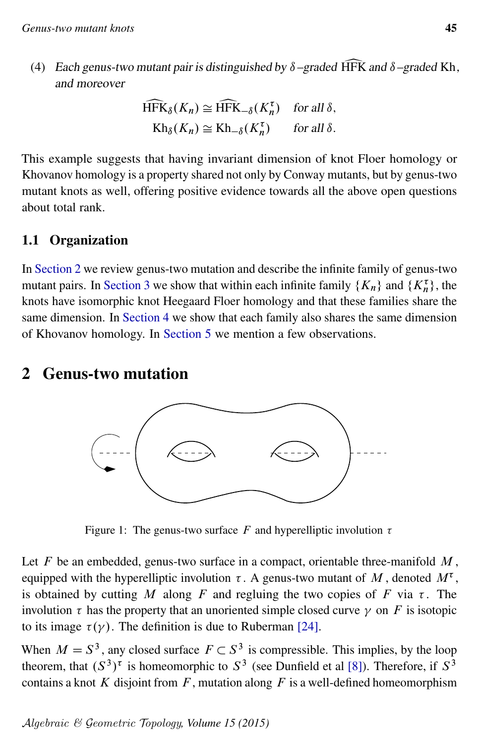(4) Each genus-two mutant pair is distinguished by  $\delta$ –graded HFK and  $\delta$ –graded Kh, and moreover

$$
\widehat{\text{HFK}}_{\delta}(K_n) \cong \widehat{\text{HFK}}_{-\delta}(K_n^{\tau}) \quad \text{for all } \delta,
$$
  
\n
$$
\text{Kh}_{\delta}(K_n) \cong \text{Kh}_{-\delta}(K_n^{\tau}) \quad \text{for all } \delta.
$$

This example suggests that having invariant dimension of knot Floer homology or Khovanov homology is a property shared not only by Conway mutants, but by genus-two mutant knots as well, offering positive evidence towards all the above open questions about total rank.

### 1.1 Organization

In [Section 2](#page-2-0) we review genus-two mutation and describe the infinite family of genus-two mutant pairs. In [Section 3](#page-8-0) we show that within each infinite family  $\{K_n\}$  and  $\{K_n^{\tau}\}\$ , the knots have isomorphic knot Heegaard Floer homology and that these families share the same dimension. In [Section 4](#page-11-0) we show that each family also shares the same dimension of Khovanov homology. In [Section 5](#page-16-0) we mention a few observations.

### <span id="page-2-0"></span>2 Genus-two mutation



Figure 1: The genus-two surface F and hyperelliptic involution  $\tau$ 

Let  $F$  be an embedded, genus-two surface in a compact, orientable three-manifold  $M$ , equipped with the hyperelliptic involution  $\tau$ . A genus-two mutant of M, denoted  $M^{\tau}$ , is obtained by cutting M along F and regluing the two copies of F via  $\tau$ . The involution  $\tau$  has the property that an unoriented simple closed curve  $\gamma$  on F is isotopic to its image  $\tau(\gamma)$ . The definition is due to Ruberman [\[24\]](#page-20-1).

When  $M = S<sup>3</sup>$ , any closed surface  $F \subset S<sup>3</sup>$  is compressible. This implies, by the loop theorem, that  $(S^3)^{\tau}$  is homeomorphic to  $S^3$  (see Dunfield et al [\[8\]](#page-19-1)). Therefore, if  $S^3$ contains a knot K disjoint from  $F$ , mutation along  $F$  is a well-defined homeomorphism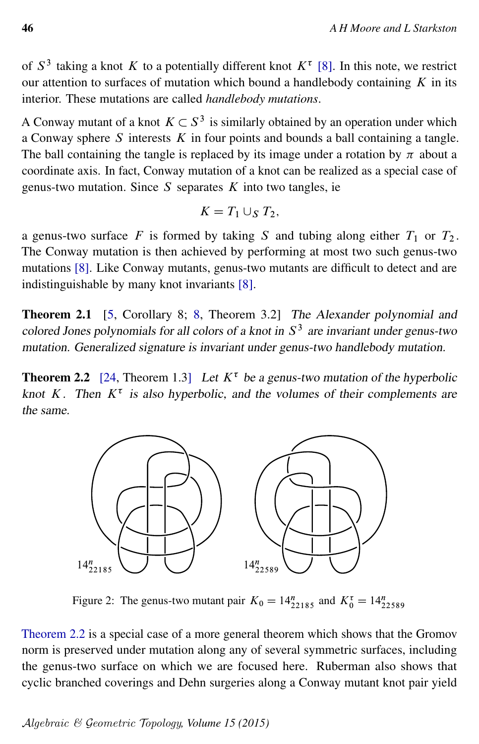of  $S^3$  taking a knot K to a potentially different knot  $K^{\tau}$  [\[8\]](#page-19-1). In this note, we restrict our attention to surfaces of mutation which bound a handlebody containing  $K$  in its interior. These mutations are called *handlebody mutations*.

A Conway mutant of a knot  $K \subset S^3$  is similarly obtained by an operation under which a Conway sphere  $S$  interests  $K$  in four points and bounds a ball containing a tangle. The ball containing the tangle is replaced by its image under a rotation by  $\pi$  about a coordinate axis. In fact, Conway mutation of a knot can be realized as a special case of genus-two mutation. Since  $S$  separates  $K$  into two tangles, ie

$$
K=T_1\cup_S T_2,
$$

a genus-two surface F is formed by taking S and tubing along either  $T_1$  or  $T_2$ . The Conway mutation is then achieved by performing at most two such genus-two mutations [\[8\]](#page-19-1). Like Conway mutants, genus-two mutants are difficult to detect and are indistinguishable by many knot invariants [\[8\]](#page-19-1).

<span id="page-3-2"></span>Theorem 2.1 [\[5,](#page-18-3) Corollary 8; [8,](#page-19-1) Theorem 3.2] The Alexander polynomial and colored Jones polynomials for all colors of a knot in  $S<sup>3</sup>$  are invariant under genus-two mutation. Generalized signature is invariant under genus-two handlebody mutation.

<span id="page-3-0"></span>**Theorem 2.2** [\[24,](#page-20-1) Theorem 1.3] Let  $K^{\tau}$  be a genus-two mutation of the hyperbolic knot K. Then  $K^{\tau}$  is also hyperbolic, and the volumes of their complements are the same.

<span id="page-3-1"></span>

Figure 2: The genus-two mutant pair  $K_0 = 14_{22185}^n$  and  $K_0^{\tau} = 14_{22589}^n$ 

[Theorem 2.2](#page-3-0) is a special case of a more general theorem which shows that the Gromov norm is preserved under mutation along any of several symmetric surfaces, including the genus-two surface on which we are focused here. Ruberman also shows that cyclic branched coverings and Dehn surgeries along a Conway mutant knot pair yield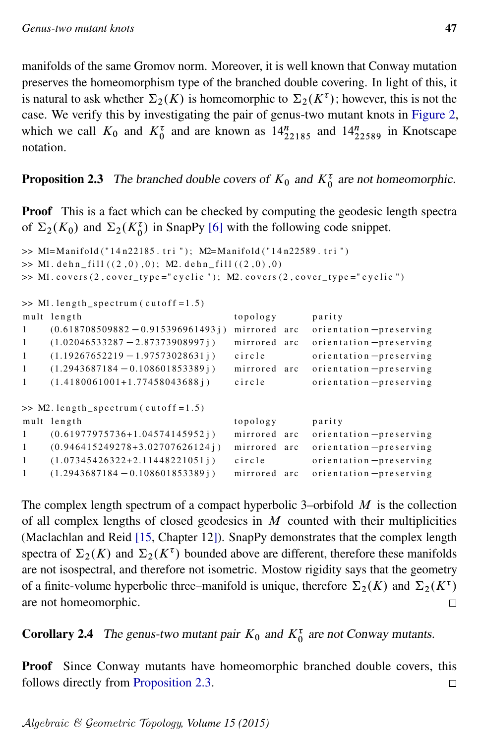manifolds of the same Gromov norm. Moreover, it is well known that Conway mutation preserves the homeomorphism type of the branched double covering. In light of this, it is natural to ask whether  $\Sigma_2(K)$  is homeomorphic to  $\Sigma_2(K^{\tau})$ ; however, this is not the case. We verify this by investigating the pair of genus-two mutant knots in [Figure 2,](#page-3-1) which we call  $K_0$  and  $K_0^{\tau}$  and are known as  $14_{22185}^{n}$  and  $14_{22589}^{n}$  in Knotscape notation.

# <span id="page-4-0"></span>**Proposition 2.3** The branched double covers of  $K_0$  and  $K_0^{\tau}$  are not homeomorphic.

Proof This is a fact which can be checked by computing the geodesic length spectra of  $\Sigma_2(K_0)$  and  $\Sigma_2(K_0^{\tau})$  in SnapPy [\[6\]](#page-19-2) with the following code snippet.

```
\gg Ml=Manifold ("14 n22185.tri"); M2=Manifold ("14 n22589.tri")
\gg M1. dehn_fill ((2,0),0); M2. dehn_fill ((2,0),0)>> M1. covers (2, cover_type="cyclic"); M2. covers (2, cover_type="cyclic")
\gg M1. length_spectrum (cutoff=1.5)
mult length topology parity
1 (0.618708509882 - 0.915396961493j) mirrored arc orientation - preserving
1 (1.02046533287 - 2.87373908997 j) mirrored arc orientation - preserving
1 (1.19267652219 - 1.97573028631 j ) circle orientation - preserving
1 (1.2943687184 - 0.108601853389j) mirrored arc orientation-preserving
1 (1.4180061001+1.77458043688j) circle orientation-preserving
\gg M2. length_spectrum (cutoff = 1.5)
mult length topology parity
1 ( 0.61977975736+1.04574145952 j ) mirrored arc orientation-preserving
1 (0.946415249278+3.02707626124j) mirrored arc orientation-preserving
1 (1.07345426322+2.11448221051j) circle orientation-preserving
1 (1.2943687184 - 0.108601853389j) mirrored arc orientation-preserving
```
The complex length spectrum of a compact hyperbolic 3–orbifold  $M$  is the collection of all complex lengths of closed geodesics in  $M$  counted with their multiplicities (Maclachlan and Reid [\[15,](#page-19-3) Chapter 12]). SnapPy demonstrates that the complex length spectra of  $\Sigma_2(K)$  and  $\Sigma_2(K^{\tau})$  bounded above are different, therefore these manifolds are not isospectral, and therefore not isometric. Mostow rigidity says that the geometry of a finite-volume hyperbolic three–manifold is unique, therefore  $\Sigma_2(K)$  and  $\Sigma_2(K^{\tau})$ are not homeomorphic.  $\Box$ 

**Corollary 2.4** The genus-two mutant pair  $K_0$  and  $K_0^{\tau}$  are not Conway mutants.

Proof Since Conway mutants have homeomorphic branched double covers, this follows directly from [Proposition 2.3.](#page-4-0)  $\Box$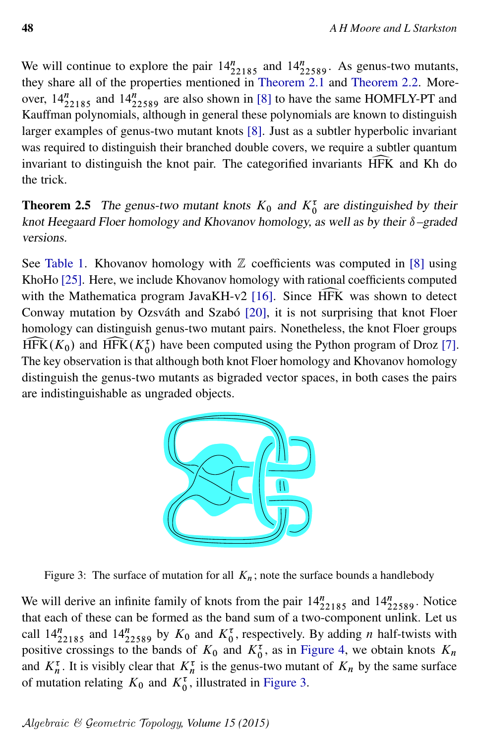We will continue to explore the pair  $14_{22185}^n$  and  $14_{22589}^n$ . As genus-two mutants, they share all of the properties mentioned in [Theorem 2.1](#page-3-2) and [Theorem 2.2.](#page-3-0) Moreover,  $14_{22185}^n$  and  $14_{22589}^n$  are also shown in [\[8\]](#page-19-1) to have the same HOMFLY-PT and Kauffman polynomials, although in general these polynomials are known to distinguish larger examples of genus-two mutant knots [\[8\]](#page-19-1). Just as a subtler hyperbolic invariant was required to distinguish their branched double covers, we require a subtler quantum invariant to distinguish the knot pair. The categorified invariants  $\widehat{HFK}$  and Kh do the trick.

**Theorem 2.5** The genus-two mutant knots  $K_0$  and  $K_0^{\tau}$  are distinguished by their knot Heegaard Floer homology and Khovanov homology, as well as by their  $\delta$ –graded versions.

See [Table 1.](#page-6-0) Khovanov homology with  $\mathbb Z$  coefficients was computed in [\[8\]](#page-19-1) using KhoHo [\[25\]](#page-20-2). Here, we include Khovanov homology with rational coefficients computed with the Mathematica program JavaKH-v2 [\[16\]](#page-19-4). Since HFK was shown to detect Conway mutation by Ozsváth and Szabó [\[20\]](#page-19-0), it is not surprising that knot Floer homology can distinguish genus-two mutant pairs. Nonetheless, the knot Floer groups  $\widehat{HFK}(K_0)$  and  $\widehat{HFK}(K_0^{\tau})$  have been computed using the Python program of Droz [\[7\]](#page-19-5).<br>The key observation is that although both knot Floer homology and Khovanov homology The key observation is that although both knot Floer homology and Khovanov homology distinguish the genus-two mutants as bigraded vector spaces, in both cases the pairs are indistinguishable as ungraded objects.

<span id="page-5-0"></span>

Figure 3: The surface of mutation for all  $K_n$ ; note the surface bounds a handlebody

We will derive an infinite family of knots from the pair  $14_{22185}^n$  and  $14_{22589}^n$ . Notice that each of these can be formed as the band sum of a two-component unlink. Let us call  $14_{22185}^n$  and  $14_{22589}^n$  by  $K_0$  and  $K_0^{\tau}$ , respectively. By adding *n* half-twists with positive crossings to the bands of  $K_0$  and  $K_0^{\tau}$ , as in [Figure 4,](#page-7-0) we obtain knots  $K_n$ and  $K_n^{\tau}$ . It is visibly clear that  $K_n^{\tau}$  is the genus-two mutant of  $K_n$  by the same surface of mutation relating  $K_0$  and  $K_0^{\tau}$ , illustrated in [Figure 3.](#page-5-0)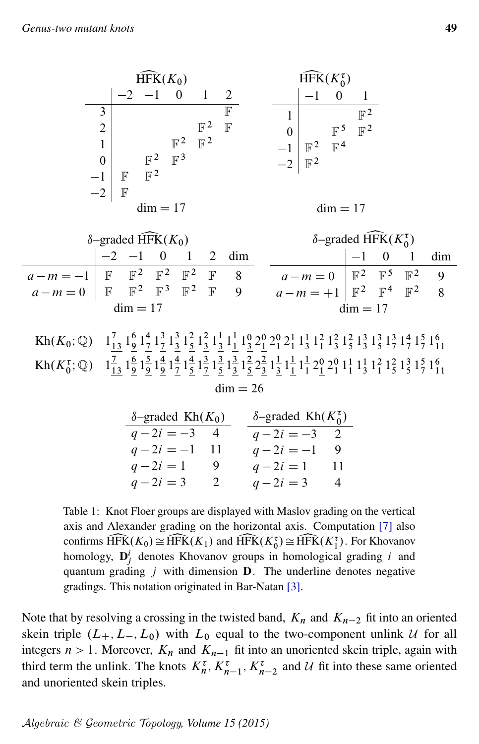<span id="page-6-0"></span>

| $\widehat{\text{HFK}}(K_0)$    |        |                                  |                                  |                                  |                  | $\hat{\text{HFK}}(K_0^{\tau})$ |                                  |                                  |                                  |
|--------------------------------|--------|----------------------------------|----------------------------------|----------------------------------|------------------|--------------------------------|----------------------------------|----------------------------------|----------------------------------|
|                                |        | $-1$                             |                                  |                                  | 2                |                                |                                  |                                  |                                  |
| 3<br>2<br>0<br>$^{-1}$<br>$-2$ | F<br>F | $\mathbb{F}^2$<br>$\mathbb{F}^2$ | $\mathbb{F}^2$<br>$\mathbb{F}^3$ | $\mathbb{F}^2$<br>$\mathbb{F}^2$ | F<br>$\mathbb F$ | 0                              | $\mathbb{F}^2$<br>$\mathbb{F}^2$ | $\mathbb{F}^5$<br>$\mathbb{F}^4$ | $\mathbb{F}^2$<br>$\mathbb{F}^2$ |
| $dim = 17$                     |        |                                  |                                  |                                  |                  |                                |                                  | $dim = 17$                       |                                  |

| $\delta$ -graded HFK $(K_0)$                                 |  |  |  |  |  |                     |  | $\delta$ -graded HFK $(K_0^{\tau})$                            |  |  |  |              |
|--------------------------------------------------------------|--|--|--|--|--|---------------------|--|----------------------------------------------------------------|--|--|--|--------------|
|                                                              |  |  |  |  |  | $-2$ $-1$ 0 1 2 dim |  |                                                                |  |  |  | $-1$ 0 1 dim |
| $a-m=-1$ F F <sup>2</sup> F <sup>2</sup> F <sup>2</sup> F 8  |  |  |  |  |  |                     |  | $a-m=0$   $\mathbb{F}^2$   $\mathbb{F}^5$   $\mathbb{F}^2$   9 |  |  |  |              |
| $a-m=0$   F F <sup>2</sup> F <sup>3</sup> F <sup>2</sup> F 9 |  |  |  |  |  |                     |  | $a-m = +1$ $\mathbb{F}^2$ $\mathbb{F}^4$ $\mathbb{F}^2$ 8      |  |  |  |              |
| $dim = 17$                                                   |  |  |  |  |  |                     |  | $dim = 17$                                                     |  |  |  |              |

Kh $(K_0; \mathbb{Q})$   $1\frac{7}{13} 1\frac{6}{9}$  $\frac{6}{9}$   $1\frac{4}{7}$  $\frac{4}{7}$   $1\frac{3}{7}$  $\frac{3}{7}$   $1\frac{3}{3}$  $\frac{3}{2} 1 \frac{2}{5}$  $\frac{2}{5}$   $1\frac{2}{3}$  $rac{2}{3}1\frac{1}{3}$  $\frac{1}{3}$   $1\frac{1}{1}$  $\frac{1}{1}$  1 $\frac{1}{3}$  2 $\frac{1}{2}$  1 $\frac{2}{1}$  1 $\frac{1}{3}$  1 $\frac{1}{1}$  1 $\frac{2}{3}$  1 $\frac{2}{5}$  1 $\frac{3}{3}$  1 $\frac{3}{5}$  1 $\frac{3}{7}$  1 $\frac{4}{7}$  1 $\frac{5}{7}$  1 $\frac{6}{11}$ Kh $(K_0^{\tau}; \mathbb{Q})$   $1_{13}^{\tau} 1_{9}^{\tau}$  $\frac{6}{9}$   $1\frac{5}{9}$  $\frac{5}{9}$   $1\frac{4}{9}$  $\frac{4}{9}$   $1\frac{4}{7}$  $\frac{4}{7}$   $1\frac{4}{5}$  $\frac{4}{5}$   $1\frac{3}{7}$  $\frac{3}{7}$   $1\frac{3}{5}$  $\frac{3}{5}$   $1\frac{3}{3}$  $\frac{3}{3} 1\frac{2}{5}$  $\frac{2}{5} 2\frac{2}{3}$  $\frac{2}{3}$   $1\frac{1}{3}$  $\frac{1}{3}$   $1\frac{1}{1}$  $\frac{1}{1}$   $1\frac{1}{1}$  $\frac{1}{1}$  2 $\frac{0}{1}$  2 $\frac{0}{1}$  1 $\frac{1}{1}$  1 $\frac{1}{3}$  1 $\frac{2}{1}$  1 $\frac{2}{5}$  1 $\frac{3}{5}$  1 $\frac{5}{7}$  1 $\frac{6}{11}$  $dim = 26$ 

| $\delta$ -graded Kh $(K_0)$ |     | $\delta$ -graded Kh $(K_0^{\tau})$ |  |
|-----------------------------|-----|------------------------------------|--|
| $q-2i=-3$ 4                 |     | $q-2i=-3$ 2                        |  |
| $q-2i = -1$ 11              |     | $q-2i=-1$ 9                        |  |
| $q - 2i = 1$                | - 9 | $q-2i=1$<br>- 11                   |  |
| $q - 2i = 3$                | 2   | $q - 2i = 3$<br>4                  |  |

Table 1: Knot Floer groups are displayed with Maslov grading on the vertical axis and Alexander grading on the horizontal axis. Computation [\[7\]](#page-19-5) also confirms  $\widehat{HFK}(K_0) \cong \widehat{HFK}(K_1)$  and  $\widehat{HFK}(K_0^{\tau}) \cong \widehat{HFK}(K_1^{\tau})$ . For Khovanov homology,  $\mathbf{D}_j^i$  denotes Khovanov groups in homological grading *i* and homology,  $\mathbf{D}_j^i$  denotes Khovanov groups in homological grading i and quantum grading  $j$  with dimension **D**. The underline denotes negative gradings. This notation originated in Bar-Natan [\[3\]](#page-18-4).

<span id="page-6-1"></span>Note that by resolving a crossing in the twisted band,  $K_n$  and  $K_{n-2}$  fit into an oriented skein triple  $(L_+, L_-, L_0)$  with  $L_0$  equal to the two-component unlink U for all integers  $n > 1$ . Moreover,  $K_n$  and  $K_{n-1}$  fit into an unoriented skein triple, again with third term the unlink. The knots  $K_n^{\tau}$ ,  $K_{n-1}^{\tau}$ ,  $K_{n-2}^{\tau}$  and U fit into these same oriented and unoriented skein triples.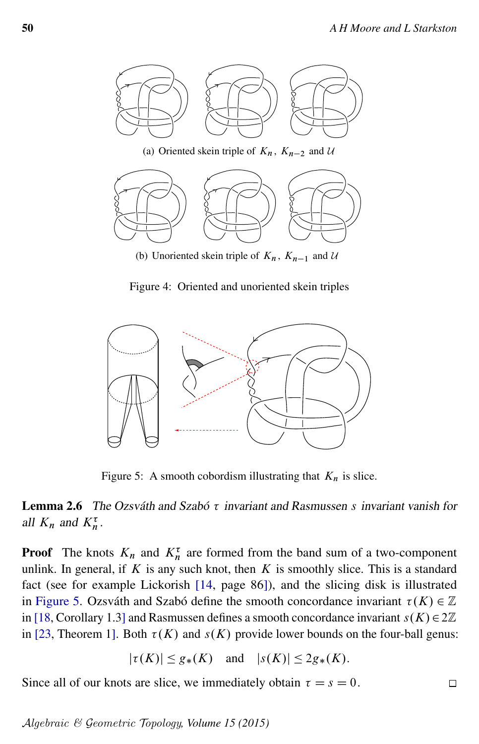<span id="page-7-0"></span>

(b) Unoriented skein triple of  $K_n$ ,  $K_{n-1}$  and U

Figure 4: Oriented and unoriented skein triples

<span id="page-7-1"></span>

Figure 5: A smooth cobordism illustrating that  $K_n$  is slice.

### **Lemma 2.6** The Ozsváth and Szabó  $\tau$  invariant and Rasmussen s invariant vanish for all  $K_n$  and  $K_n^{\tau}$ .

**Proof** The knots  $K_n$  and  $K_n^{\tau}$  are formed from the band sum of a two-component unlink. In general, if  $K$  is any such knot, then  $K$  is smoothly slice. This is a standard fact (see for example Lickorish [\[14,](#page-19-6) page 86]), and the slicing disk is illustrated in [Figure 5.](#page-7-1) Ozsváth and Szabó define the smooth concordance invariant  $\tau(K) \in \mathbb{Z}$ in [\[18,](#page-19-7) Corollary 1.3] and Rasmussen defines a smooth concordance invariant  $s(K) \in 2\mathbb{Z}$ in [\[23,](#page-19-8) Theorem 1]. Both  $\tau(K)$  and  $s(K)$  provide lower bounds on the four-ball genus:

$$
|\tau(K)| \le g_*(K) \quad \text{and} \quad |s(K)| \le 2g_*(K).
$$

Since all of our knots are slice, we immediately obtain  $\tau = s = 0$ .  $\Box$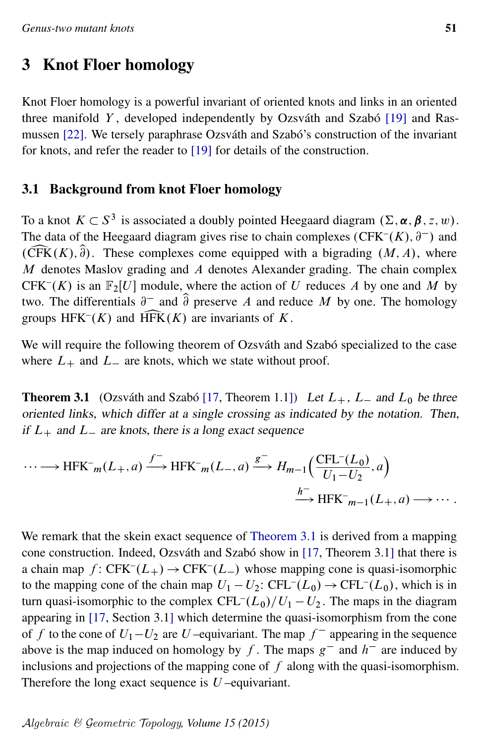### <span id="page-8-0"></span>3 Knot Floer homology

Knot Floer homology is a powerful invariant of oriented knots and links in an oriented three manifold  $Y$ , developed independently by Ozsváth and Szabó [\[19\]](#page-19-9) and Rasmussen [\[22\]](#page-19-10). We tersely paraphrase Ozsváth and Szabó's construction of the invariant for knots, and refer the reader to [\[19\]](#page-19-9) for details of the construction.

#### 3.1 Background from knot Floer homology

To a knot  $K \subset S^3$  is associated a doubly pointed Heegaard diagram  $(\Sigma, \alpha, \beta, z, w)$ . The data of the Heegaard diagram gives rise to chain complexes (CFK<sup>-</sup> $(K)$ ,  $\partial^-$ ) and  $(\widehat{CFK}(K), \widehat{\partial})$ . These complexes come equipped with a bigrading  $(M, A)$ , where  $M$  denotes Maslov grading and  $A$  denotes Alexander grading. The chain complex CFK<sup>-</sup>(K) is an  $\mathbb{F}_2[U]$  module, where the action of U reduces A by one and M by two. The differentials  $\partial^-$  and  $\hat{\partial}$  preserve A and reduce M by one. The homology groups HFK<sup>-</sup> $(K)$  and HFK $(K)$  are invariants of K.

We will require the following theorem of Ozsváth and Szabó specialized to the case where  $L_{+}$  and  $L_{-}$  are knots, which we state without proof.

<span id="page-8-1"></span>**Theorem 3.1** (Ozsváth and Szabó [\[17,](#page-19-11) Theorem 1.1]) Let  $L_+$ ,  $L_-$  and  $L_0$  be three oriented links, which differ at a single crossing as indicated by the notation. Then, if  $L_{+}$  and  $L_{-}$  are knots, there is a long exact sequence

$$
\cdots \longrightarrow \text{HFK}^-_{m}(L_+, a) \xrightarrow{f^-} \text{HFK}^-_{m}(L_-, a) \xrightarrow{g^-} H_{m-1}\left(\frac{\text{CFL}^-(L_0)}{U_1 - U_2}, a\right)
$$

$$
\xrightarrow{h^-} \text{HFK}^-_{m-1}(L_+, a) \longrightarrow \cdots.
$$

We remark that the skein exact sequence of [Theorem 3.1](#page-8-1) is derived from a mapping cone construction. Indeed, Ozsváth and Szabó show in [\[17,](#page-19-11) Theorem 3.1] that there is a chain map  $f: CFK^{-}(L_{+}) \rightarrow CFK^{-}(L_{-})$  whose mapping cone is quasi-isomorphic to the mapping cone of the chain map  $U_1 - U_2$ : CFL<sup>-</sup> $(L_0) \rightarrow$  CFL<sup>-</sup> $(L_0)$ , which is in turn quasi-isomorphic to the complex  $\text{CFL}^-(L_0)/U_1 - U_2$ . The maps in the diagram appearing in [\[17,](#page-19-11) Section 3.1] which determine the quasi-isomorphism from the cone of f to the cone of  $U_1-U_2$  are U-equivariant. The map  $f^-$  appearing in the sequence above is the map induced on homology by f. The maps  $g^-$  and  $h^-$  are induced by inclusions and projections of the mapping cone of  $f$  along with the quasi-isomorphism. Therefore the long exact sequence is  $U$ -equivariant.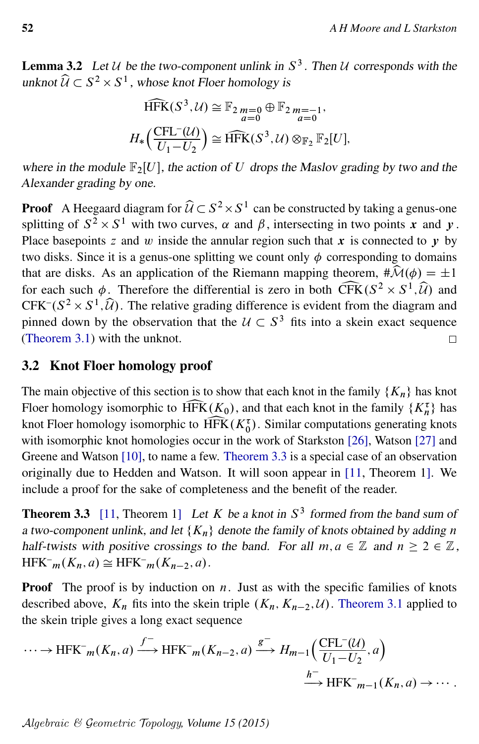**Lemma 3.2** Let U be the two-component unlink in  $S^3$ . Then U corresponds with the unknot  $\widehat{U} \subset S^2 \times S^1$ , whose knot Floer homology is

$$
\widehat{\text{HFK}}(S^3, \mathcal{U}) \cong \mathbb{F}_2 \lim_{a=0} \oplus \mathbb{F}_2 \lim_{a=0} \mathbb{F}_{2n}.
$$

$$
H_*\left(\frac{\text{CFL}^{-}(\mathcal{U})}{U_1 - U_2}\right) \cong \widehat{\text{HFK}}(S^3, \mathcal{U}) \otimes_{\mathbb{F}_2} \mathbb{F}_2[U],
$$

where in the module  $\mathbb{F}_2[U]$ , the action of U drops the Maslov grading by two and the Alexander grading by one.

**Proof** A Heegaard diagram for  $\widehat{U} \subset S^2 \times S^1$  can be constructed by taking a genus-one splitting of  $S^2 \times S^1$  with two curves,  $\alpha$  and  $\beta$ , intersecting in two points x and y. Place basepoints z and w inside the annular region such that x is connected to y by two disks. Since it is a genus-one splitting we count only  $\phi$  corresponding to domains that are disks. As an application of the Riemann mapping theorem,  $\#\widehat{\mathcal{M}}(\phi) = \pm 1$  $2 \times S^1$ ,  $\widehat{U}$  and for each such  $\phi$ . Therefore the differential is zero in both CFK( $S^2 \times S^1$ ,  $\mathcal{U}$ ) and CFK– $(S^2 \times S^1, \hat{\mathcal{U}})$ . The relative grading difference is evident from the diagram and pinned down by the observation that the  $U \subset S^3$  fits into a skein exact sequence [\(Theorem 3.1\)](#page-8-1) with the unknot.  $\Box$ 

#### 3.2 Knot Floer homology proof

The main objective of this section is to show that each knot in the family  $\{K_n\}$  has knot Floer homology isomorphic to  $\widehat{HFK}(K_0)$ , and that each knot in the family  $\{K_n^{\tau}\}$  knot Floer homology isomorphic to  $\widehat{HFK}(K_0^{\tau})$ . Similar computations generating  $\binom{\tau}{n}$  has knot Floer homology isomorphic to  $\widehat{HFK}(K_0^{\tau})$ . Similar computations generating knots with isomorphic knot homologies occur in the work of Starkston [26], Watson [27] and with isomorphic knot homologies occur in the work of Starkston [\[26\]](#page-20-3), Watson [\[27\]](#page-20-4) and Greene and Watson [\[10\]](#page-19-12), to name a few. [Theorem 3.3](#page-9-0) is a special case of an observation originally due to Hedden and Watson. It will soon appear in [\[11,](#page-19-13) Theorem 1]. We include a proof for the sake of completeness and the benefit of the reader.

<span id="page-9-0"></span>**Theorem 3.3** [\[11,](#page-19-13) Theorem 1] Let K be a knot in  $S<sup>3</sup>$  formed from the band sum of a two-component unlink, and let  ${K_n}$  denote the family of knots obtained by adding n half-twists with positive crossings to the band. For all  $m, a \in \mathbb{Z}$  and  $n \geq 2 \in \mathbb{Z}$ ,  $\text{HFK}^-_{m}(K_n, a) \cong \text{HFK}^-_{m}(K_{n-2}, a).$ 

**Proof** The proof is by induction on  $n$ . Just as with the specific families of knots described above,  $K_n$  fits into the skein triple  $(K_n, K_{n-2}, \mathcal{U})$ . [Theorem 3.1](#page-8-1) applied to the skein triple gives a long exact sequence

$$
\cdots \to \text{HFK}^-_{m}(K_n, a) \xrightarrow{f^-} \text{HFK}^-_{m}(K_{n-2}, a) \xrightarrow{g^-} H_{m-1}\left(\frac{\text{CFL}^-(\mathcal{U})}{U_1 - U_2}, a\right)
$$

$$
\xrightarrow{h^-} \text{HFK}^-_{m-1}(K_n, a) \to \cdots.
$$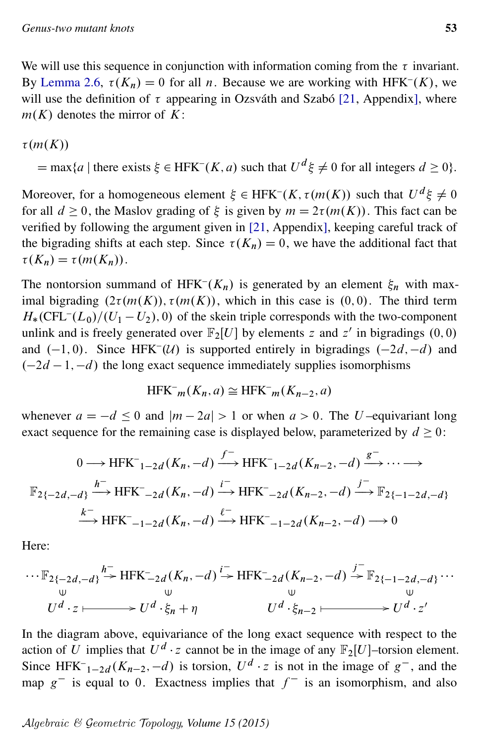We will use this sequence in conjunction with information coming from the  $\tau$  invariant. By [Lemma 2.6,](#page-6-1)  $\tau(K_n) = 0$  for all *n*. Because we are working with HFK<sup>-</sup>(K), we will use the definition of  $\tau$  appearing in Ozsváth and Szabó [\[21,](#page-19-14) Appendix], where  $m(K)$  denotes the mirror of K:

$$
\tau(m(K))
$$

 $=\max\{a \mid \text{there exists } \xi \in \text{HFK}^-(K, a) \text{ such that } U^d \xi \neq 0 \text{ for all integers } d \geq 0\}.$ 

Moreover, for a homogeneous element  $\xi \in HFK^-(K, \tau(m(K))$  such that  $U^d \xi \neq 0$ for all  $d \ge 0$ , the Maslov grading of  $\xi$  is given by  $m = 2\tau(m(K))$ . This fact can be verified by following the argument given in [\[21,](#page-19-14) Appendix], keeping careful track of the bigrading shifts at each step. Since  $\tau(K_n) = 0$ , we have the additional fact that  $\tau(K_n) = \tau(m(K_n)).$ 

The nontorsion summand of HFK<sup>-</sup> $(K_n)$  is generated by an element  $\xi_n$  with maximal bigrading  $(2\tau(m(K)), \tau(m(K)),$  which in this case is  $(0, 0)$ . The third term  $H_*(\text{CFL}^{-1}(L_0)/(U_1-U_2),0)$  of the skein triple corresponds with the two-component unlink and is freely generated over  $\mathbb{F}_2[U]$  by elements z and z' in bigradings  $(0,0)$ and  $(-1, 0)$ . Since HFK<sup>-</sup>(U) is supported entirely in bigradings  $(-2d, -d)$  and  $(-2d - 1, -d)$  the long exact sequence immediately supplies isomorphisms

$$
HFK^-_{m}(K_n, a) \cong HFK^-_{m}(K_{n-2}, a)
$$

whenever  $a = -d \le 0$  and  $|m - 2a| > 1$  or when  $a > 0$ . The U-equivariant long exact sequence for the remaining case is displayed below, parameterized by  $d \geq 0$ :

$$
0 \longrightarrow \text{HFK}^{-}_{1-2d}(K_n, -d) \xrightarrow{f^{-}} \text{HFK}^{-}_{1-2d}(K_{n-2}, -d) \xrightarrow{g^{-}} \cdots \longrightarrow
$$
  

$$
\mathbb{F}_{2\{-2d, -d\}} \xrightarrow{h^{-}} \text{HFK}^{-}_{2d}(K_n, -d) \xrightarrow{i^{-}} \text{HFK}^{-}_{2d}(K_{n-2}, -d) \xrightarrow{j^{-}} \mathbb{F}_{2\{-1-2d, -d\}}
$$
  

$$
\xrightarrow{k^{-}} \text{HFK}^{-}_{-1-2d}(K_n, -d) \xrightarrow{\ell^{-}} \text{HFK}^{-}_{-1-2d}(K_{n-2}, -d) \longrightarrow 0
$$

Here:

$$
\cdots \mathbb{F}_{2\{-2d,-d\}} \xrightarrow{h^-} \mathrm{HFK}_{-2d}(K_n,-d) \xrightarrow{i^-} \mathrm{HFK}_{-2d}(K_{n-2},-d) \xrightarrow{j^-} \mathbb{F}_{2\{-1-2d,-d\}} \cdots
$$
  
\n
$$
\begin{array}{ccc}\n\cup & \cup & \cup & \cup \\
U^d \cdot z & \longrightarrow & U^d \cdot \xi_n + \eta & U^d \cdot \xi_{n-2} & \longrightarrow & U^d \cdot z'\n\end{array}
$$

In the diagram above, equivariance of the long exact sequence with respect to the action of U implies that  $U^d \cdot z$  cannot be in the image of any  $\mathbb{F}_2[U]$ -torsion element. Since HFK<sup>-</sup><sub>1-2d</sub>(K<sub>n-2</sub>,-d) is torsion,  $U^d \cdot z$  is not in the image of  $g^-$ , and the map  $g^-$  is equal to 0. Exactness implies that  $f^-$  is an isomorphism, and also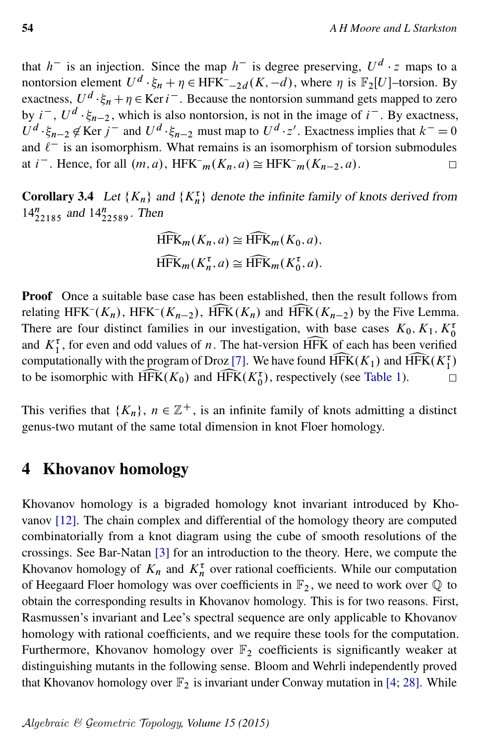that  $h^-$  is an injection. Since the map  $h^-$  is degree preserving,  $U^d \cdot z$  maps to a nontorsion element  $U^d \cdot \xi_n + \eta \in \text{HFK}^-_{-2d}(K, -d)$ , where  $\eta$  is  $\mathbb{F}_2[U]$ -torsion. By exactness,  $U^d \cdot \xi_n + \eta \in \text{Ker } i^-$ . Because the nontorsion summand gets mapped to zero by  $i^-$ ,  $U^d \cdot \xi_{n-2}$ , which is also nontorsion, is not in the image of  $i^-$ . By exactness,  $U^d \cdot \xi_{n-2} \notin \text{Ker } j^-$  and  $U^d \cdot \xi_{n-2}$  must map to  $U^d \cdot z'$ . Exactness implies that  $k^- = 0$ and  $\ell^-$  is an isomorphism. What remains is an isomorphism of torsion submodules at *i*<sup>-</sup>. Hence, for all  $(m, a)$ , HFK<sup>-</sup> $_m(K_n, a) \cong$  HFK<sup>-</sup> $_m(K_{n-2}, a)$ .  $\Box$ 

**Corollary 3.4** Let  $\{K_n\}$  and  $\{K_n^{\tau}\}\$  denote the infinite family of knots derived from  $14_{22185}^n$  and  $14_{22589}^n$ . Then

$$
\widehat{\text{HFK}}_m(K_n, a) \cong \widehat{\text{HFK}}_m(K_0, a),
$$
  

$$
\widehat{\text{HFK}}_m(K_n^{\tau}, a) \cong \widehat{\text{HFK}}_m(K_0^{\tau}, a).
$$

Proof Once a suitable base case has been established, then the result follows from relating  $HFK^{-}(K_{n})$ ,  $HFK^{-}$ relating HFK<sup>-</sup>( $K_n$ ), HFK<sup>-</sup>( $K_{n-2}$ ), HFK ( $K_n$ ) and HFK ( $K_{n-2}$ ) by the Five Lemma.<br>There are four distinct families in our investigation, with base cases  $K_0, K_1, K_0^{\tau}$ and  $K_1^{\tau}$ , for even and odd values of *n*. The hat-version HFK of each has been verified ationally with the program of Droz [7]. We have found  $\widehat{HFK}(K_1)$  and  $\widehat{HFK}(K_1^{\tau})$ computationally with the program of Droz [\[7\]](#page-19-5). We have found  $\widehat{HFK}(K_1)$  and  $\widehat{HFK}(K_1^{\tau})$  to be isomorphic with  $\widehat{HFK}(K_0)$  and  $\widehat{HFK}(K_0^{\tau})$ , respectively (see Table 1). to be isomorphic with  $\widehat{HFK}(K_0)$  and  $\widehat{HFK}(K_0^{\tau})$ , respectively (see [Table 1\)](#page-6-0).

This verifies that  $\{K_n\}$ ,  $n \in \mathbb{Z}^+$ , is an infinite family of knots admitting a distinct genus-two mutant of the same total dimension in knot Floer homology.

### <span id="page-11-0"></span>4 Khovanov homology

Khovanov homology is a bigraded homology knot invariant introduced by Khovanov [\[12\]](#page-19-15). The chain complex and differential of the homology theory are computed combinatorially from a knot diagram using the cube of smooth resolutions of the crossings. See Bar-Natan [\[3\]](#page-18-4) for an introduction to the theory. Here, we compute the Khovanov homology of  $K_n$  and  $K_n^{\tau}$  over rational coefficients. While our computation of Heegaard Floer homology was over coefficients in  $\mathbb{F}_2$ , we need to work over  $\mathbb Q$  to obtain the corresponding results in Khovanov homology. This is for two reasons. First, Rasmussen's invariant and Lee's spectral sequence are only applicable to Khovanov homology with rational coefficients, and we require these tools for the computation. Furthermore, Khovanov homology over  $\mathbb{F}_2$  coefficients is significantly weaker at distinguishing mutants in the following sense. Bloom and Wehrli independently proved that Khovanov homology over  $\mathbb{F}_2$  is invariant under Conway mutation in [\[4;](#page-18-1) [28\]](#page-20-0). While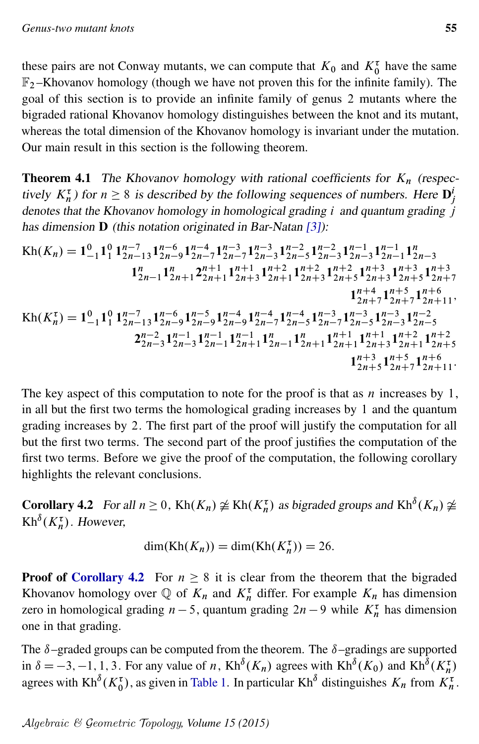these pairs are not Conway mutants, we can compute that  $K_0$  and  $K_0^{\tau}$  have the same  $\mathbb{F}_2$ -Khovanov homology (though we have not proven this for the infinite family). The goal of this section is to provide an infinite family of genus 2 mutants where the bigraded rational Khovanov homology distinguishes between the knot and its mutant, whereas the total dimension of the Khovanov homology is invariant under the mutation. Our main result in this section is the following theorem.

<span id="page-12-1"></span>**Theorem 4.1** The Khovanov homology with rational coefficients for  $K_n$  (respectively  $K_n^{\tau}$ ) for  $n \geq 8$  is described by the following sequences of numbers. Here  $D_j^i$ denotes that the Khovanov homology in homological grading  $i$  and quantum grading  $j$ has dimension **D** (this notation originated in Bar-Natan [\[3\]](#page-18-4)):

$$
Kh(K_n) = 1_{-1}^{0} 1_{1}^{n-1} 1_{2n-1}^{n-6} 1_{2n-7}^{n-4} 1_{2n-7}^{n-3} 1_{2n-5}^{n-3} 1_{2n-5}^{n-2} 1_{2n-3}^{n-1} 1_{2n-1}^{n-1} 1_{2n-3}^{n-1}
$$
  
\n
$$
1_{2n-1}^{n} 1_{2n+1}^{n} 2_{2n+1}^{n+1} 1_{2n+3}^{n+1} 1_{2n+3}^{n+2} 1_{2n+5}^{n+2} 1_{2n+5}^{n+3} 1_{2n+5}^{n+3} 1_{2n+5}^{n+3} 1_{2n+7}^{n+3}
$$
  
\n
$$
1_{2n+1}^{n+4} 1_{2n-1}^{n+5} 1_{2n+7}^{n+6}
$$
  
\n
$$
Kh(K_n^{\tau}) = 1_{-1}^{0} 1_{1}^{0} 1_{2n-1}^{n-7} 1_{2n-9}^{n-6} 1_{2n-9}^{n-5} 1_{2n-9}^{n-4} 1_{2n-7}^{n-4} 1_{2n-5}^{n-4} 1_{2n-7}^{n-3} 1_{2n-7}^{n-3} 1_{2n-3}^{n-3} 1_{2n-5}^{n-3}
$$
  
\n
$$
2_{2n-3}^{n-2} 1_{2n-3}^{n-1} 1_{2n-1}^{n-1} 1_{2n+1}^{n-1} 1_{2n-1}^{n} 1_{2n+1}^{n+1} 1_{2n+3}^{n+1} 1_{2n+1}^{n+2} 1_{2n+5}^{n+6}
$$
  
\n
$$
1_{2n+5}^{n+5} 1_{2n+7}^{n+6} 1_{2n+7}^{n+6}
$$
  
\n
$$
1_{2n+5}^{n+5} 1_{2n+7}^{n+6} 1_{2n+1}^{n+1} 1_{2n+1}^{n+6}
$$
  
\n
$$
1_{2n+5}^{n+5} 1_{2n+7}^{n+6} 1_{2n+1}
$$

The key aspect of this computation to note for the proof is that as  $n$  increases by 1, in all but the first two terms the homological grading increases by 1 and the quantum grading increases by 2. The first part of the proof will justify the computation for all but the first two terms. The second part of the proof justifies the computation of the first two terms. Before we give the proof of the computation, the following corollary highlights the relevant conclusions.

<span id="page-12-0"></span>**Corollary 4.2** For all  $n \ge 0$ , Kh $(K_n) \not\cong$  Kh $(K_n^{\tau})$  as bigraded groups and Kh<sup> $\delta$ </sup> $(K_n) \not\cong$  $\mathop{\mathrm{Kh}}\nolimits^{\delta}(K_n^{\tau}).$  However,

$$
\dim(\text{Kh}(K_n)) = \dim(\text{Kh}(K_n^{\tau})) = 26.
$$

**Proof of [Corollary 4.2](#page-12-0)** For  $n \geq 8$  it is clear from the theorem that the bigraded Khovanov homology over  $\mathbb Q$  of  $K_n$  and  $K_n^{\tau}$  differ. For example  $K_n$  has dimension zero in homological grading  $n-5$ , quantum grading  $2n-9$  while  $K_n^{\tau}$  has dimension one in that grading.

The  $\delta$ –graded groups can be computed from the theorem. The  $\delta$ –gradings are supported in  $\delta = -3, -1, 1, 3$ . For any value of n, Kh<sup> $\delta$ </sup>(K<sub>n</sub>) agrees with Kh<sup> $\delta$ </sup>(K<sub>0</sub>) and Kh<sup> $\delta$ </sup>(K<sub>n</sub><sup> $\tau$ </sup>) agrees with  $Kh^{\delta}(K_0^{\tau})$ , as given in [Table 1.](#page-6-0) In particular  $Kh^{\delta}$  distinguishes  $K_n$  from  $K_n^{\tau}$ .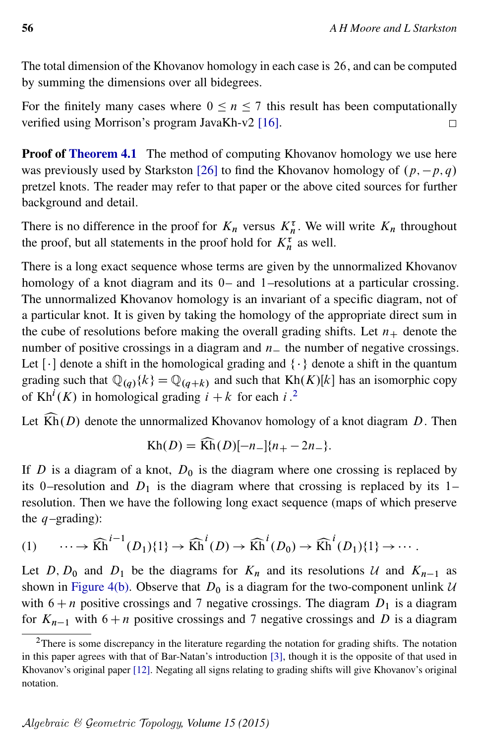The total dimension of the Khovanov homology in each case is 26, and can be computed by summing the dimensions over all bidegrees.

For the finitely many cases where  $0 \le n \le 7$  this result has been computationally verified using Morrison's program JavaKh-v2 [\[16\]](#page-19-4).  $\Box$ 

Proof of [Theorem 4.1](#page-12-1) The method of computing Khovanov homology we use here was previously used by Starkston [\[26\]](#page-20-3) to find the Khovanov homology of  $(p, -p, q)$ pretzel knots. The reader may refer to that paper or the above cited sources for further background and detail.

There is no difference in the proof for  $K_n$  versus  $K_n^{\tau}$ . We will write  $K_n$  throughout the proof, but all statements in the proof hold for  $K_n^{\tau}$  as well.

There is a long exact sequence whose terms are given by the unnormalized Khovanov homology of a knot diagram and its 0– and 1–resolutions at a particular crossing. The unnormalized Khovanov homology is an invariant of a specific diagram, not of a particular knot. It is given by taking the homology of the appropriate direct sum in the cube of resolutions before making the overall grading shifts. Let  $n_+$  denote the number of positive crossings in a diagram and  $n_+$  the number of negative crossings. Let  $\lceil \cdot \rceil$  denote a shift in the homological grading and  $\{\cdot\}$  denote a shift in the quantum grading such that  $\mathbb{Q}_{(q)}\{k\} = \mathbb{Q}_{(q+k)}$  and such that Kh $(K)[k]$  has an isomorphic copy of Kh<sup>*i*</sup>(*K*) in homological grading  $i + k$  for each *i*.<sup>[2](#page-13-0)</sup>

Let  $\widehat{Kh}(D)$  denote the unnormalized Khovanov homology of a knot diagram D. Then

<span id="page-13-1"></span>
$$
Kh(D) = \widehat{Kh}(D)[-n_{-}]\{n_{+} - 2n_{-}\}.
$$

If D is a diagram of a knot,  $D_0$  is the diagram where one crossing is replaced by its 0–resolution and  $D_1$  is the diagram where that crossing is replaced by its 1– resolution. Then we have the following long exact sequence (maps of which preserve the  $q$ -grading):

$$
(1) \qquad \cdots \to \widehat{Kh}^{i-1}(D_1)\{1\} \to \widehat{Kh}^i(D) \to \widehat{Kh}^i(D_0) \to \widehat{Kh}^i(D_1)\{1\} \to \cdots.
$$

Let D,  $D_0$  and  $D_1$  be the diagrams for  $K_n$  and its resolutions U and  $K_{n-1}$  as shown in [Figure 4\(b\).](#page-7-0) Observe that  $D_0$  is a diagram for the two-component unlink  $U$ with  $6 + n$  positive crossings and 7 negative crossings. The diagram  $D_1$  is a diagram for  $K_{n-1}$  with 6 + n positive crossings and 7 negative crossings and D is a diagram

<span id="page-13-0"></span><sup>&</sup>lt;sup>2</sup>There is some discrepancy in the literature regarding the notation for grading shifts. The notation in this paper agrees with that of Bar-Natan's introduction [\[3\]](#page-18-4), though it is the opposite of that used in Khovanov's original paper [\[12\]](#page-19-15). Negating all signs relating to grading shifts will give Khovanov's original notation.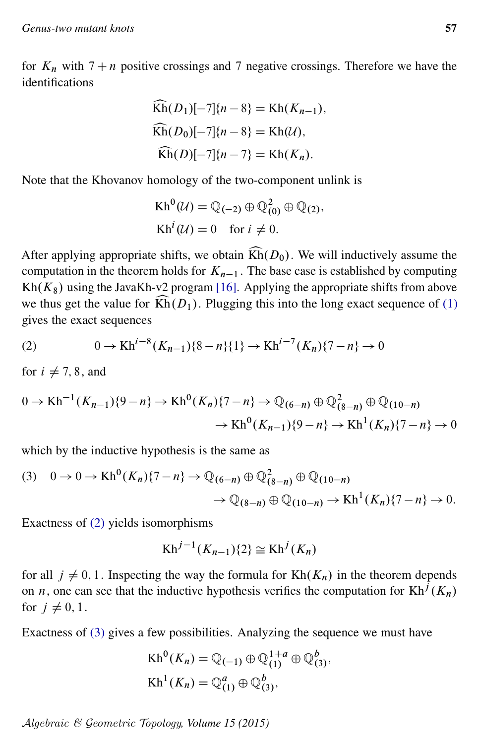for  $K_n$  with  $7 + n$  positive crossings and 7 negative crossings. Therefore we have the identifications

$$
\widehat{Kh}(D_1)[-7]\{n-8\} = Kh(K_{n-1}),
$$
  
\n
$$
\widehat{Kh}(D_0)[-7]\{n-8\} = Kh(U),
$$
  
\n
$$
\widehat{Kh}(D)[-7]\{n-7\} = Kh(K_n).
$$

Note that the Khovanov homology of the two-component unlink is

<span id="page-14-0"></span>
$$
Kh^{0}(\mathcal{U}) = \mathbb{Q}_{(-2)} \oplus \mathbb{Q}_{(0)}^{2} \oplus \mathbb{Q}_{(2)},
$$
  
\n
$$
Kh^{i}(\mathcal{U}) = 0 \text{ for } i \neq 0.
$$

After applying appropriate shifts, we obtain  $\widehat{Kh}(D_0)$ . We will inductively assume the computation in the theorem holds for  $K_{n-1}$ . The base case is established by computing Kh $(K_8)$  using the JavaKh-v2 program [\[16\]](#page-19-4). Applying the appropriate shifts from above we thus get the value for  $\widehat{Kh}(D_1)$ . Plugging this into the long exact sequence of [\(1\)](#page-13-1) gives the exact sequences

(2) 
$$
0 \to \text{Kh}^{i-8}(K_{n-1})\{8-n\}\{1\} \to \text{Kh}^{i-7}(K_n)\{7-n\} \to 0
$$

for  $i \neq 7, 8$ , and

$$
0 \to \text{Kh}^{-1}(K_{n-1})\{9-n\} \to \text{Kh}^{0}(K_{n})\{7-n\} \to \mathbb{Q}_{(6-n)} \oplus \mathbb{Q}_{(8-n)}^{2} \oplus \mathbb{Q}_{(10-n)}\to \text{Kh}^{0}(K_{n-1})\{9-n\} \to \text{Kh}^{1}(K_{n})\{7-n\} \to 0
$$

which by the inductive hypothesis is the same as

$$
(3) \quad 0 \to 0 \to \operatorname{Kh}^{0}(K_{n})\{7-n\} \to \mathbb{Q}_{(6-n)} \oplus \mathbb{Q}_{(8-n)}^{2} \oplus \mathbb{Q}_{(10-n)}\to \mathbb{Q}_{(8-n)} \oplus \mathbb{Q}_{(10-n)} \to \operatorname{Kh}^{1}(K_{n})\{7-n\} \to 0.
$$

Exactness of [\(2\)](#page-14-0) yields isomorphisms

<span id="page-14-1"></span>
$$
Kh^{j-1}(K_{n-1})\{2\} \cong Kh^{j}(K_{n})
$$

for all  $j \neq 0, 1$ . Inspecting the way the formula for  $Kh(K_n)$  in the theorem depends on *n*, one can see that the inductive hypothesis verifies the computation for  $Kh^{j}(K_{n})$ for  $j \neq 0, 1$ .

Exactness of [\(3\)](#page-14-1) gives a few possibilities. Analyzing the sequence we must have

$$
\operatorname{Kh}^{0}(K_{n}) = \mathbb{Q}_{(-1)} \oplus \mathbb{Q}_{(1)}^{1+a} \oplus \mathbb{Q}_{(3)}^{b},
$$
  
\n
$$
\operatorname{Kh}^{1}(K_{n}) = \mathbb{Q}_{(1)}^{a} \oplus \mathbb{Q}_{(3)}^{b},
$$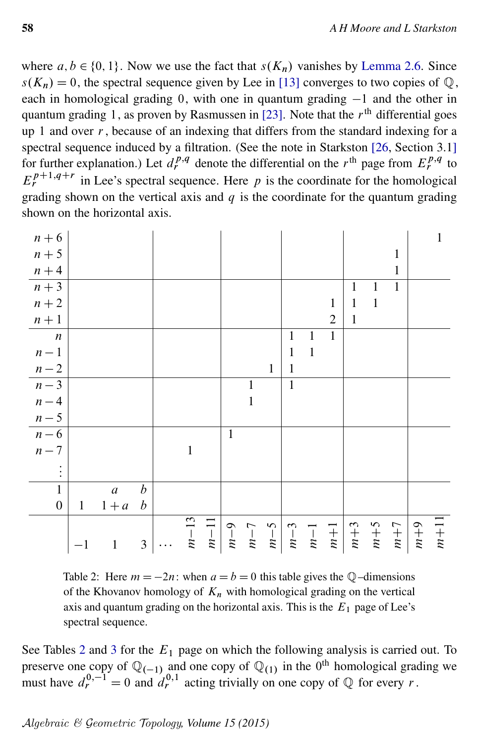where  $a, b \in \{0, 1\}$ . Now we use the fact that  $s(K_n)$  vanishes by [Lemma 2.6.](#page-6-1) Since  $s(K_n) = 0$ , the spectral sequence given by Lee in [\[13\]](#page-19-16) converges to two copies of  $\mathbb{Q}$ , each in homological grading 0, with one in quantum grading  $-1$  and the other in quantum grading 1, as proven by Rasmussen in [\[23\]](#page-19-8). Note that the  $r<sup>th</sup>$  differential goes up 1 and over  $r$ , because of an indexing that differs from the standard indexing for a spectral sequence induced by a filtration. (See the note in Starkston [\[26,](#page-20-3) Section 3.1] for further explanation.) Let  $d_r^{p,q}$  denote the differential on the r<sup>th</sup> page from  $E_r^{p,q}$  to  $E_r^{p+1,q+r}$  in Lee's spectral sequence. Here p is the coordinate for the homological grading shown on the vertical axis and  $q$  is the coordinate for the quantum grading shown on the horizontal axis.

<span id="page-15-0"></span>

Table 2: Here  $m = -2n$ : when  $a = b = 0$  this table gives the Q–dimensions of the Khovanov homology of  $K_n$  with homological grading on the vertical axis and quantum grading on the horizontal axis. This is the  $E_1$  page of Lee's spectral sequence.

See Tables [2](#page-15-0) and [3](#page-16-1) for the  $E_1$  page on which the following analysis is carried out. To preserve one copy of  $\mathbb{Q}_{(-1)}$  and one copy of  $\mathbb{Q}_{(1)}$  in the 0<sup>th</sup> homological grading we must have  $d_r^{0,-1} = 0$  and  $d_r^{0,1}$  acting trivially on one copy of  $\mathbb Q$  for every r.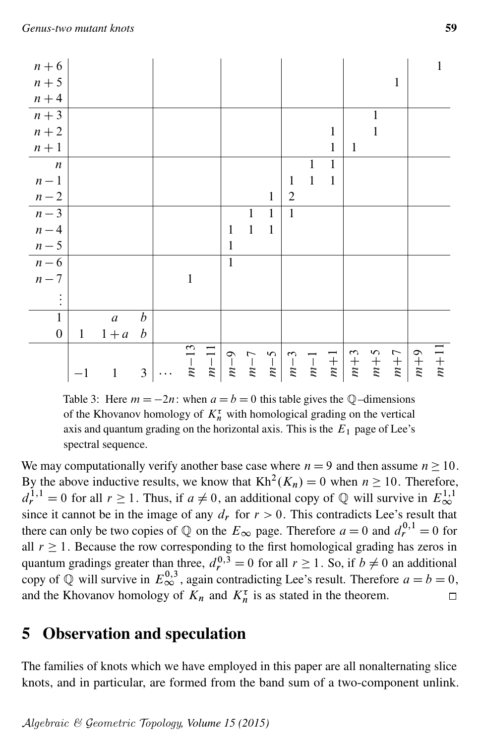<span id="page-16-1"></span>

Table 3: Here  $m = -2n$ : when  $a = b = 0$  this table gives the Q–dimensions of the Khovanov homology of  $K_n^{\tau}$  with homological grading on the vertical axis and quantum grading on the horizontal axis. This is the  $E_1$  page of Lee's spectral sequence.

We may computationally verify another base case where  $n = 9$  and then assume  $n \ge 10$ . By the above inductive results, we know that  $Kh^2(K_n) = 0$  when  $n \ge 10$ . Therefore,  $d_r^{1,1} = 0$  for all  $r \ge 1$ . Thus, if  $a \ne 0$ , an additional copy of Q will survive in  $E_{\infty}^{1,1}$ since it cannot be in the image of any  $d_r$  for  $r > 0$ . This contradicts Lee's result that there can only be two copies of  $\mathbb Q$  on the  $E_{\infty}$  page. Therefore  $a = 0$  and  $d_r^{0,1} = 0$  for all  $r \geq 1$ . Because the row corresponding to the first homological grading has zeros in quantum gradings greater than three,  $d_r^{0,3} = 0$  for all  $r \ge 1$ . So, if  $b \ne 0$  an additional copy of Q will survive in  $E_{\infty}^{0,3}$ , again contradicting Lee's result. Therefore  $a = b = 0$ , and the Khovanov homology of  $K_n$  and  $K_n^{\tau}$  is as stated in the theorem.  $\Box$ 

# <span id="page-16-0"></span>5 Observation and speculation

The families of knots which we have employed in this paper are all nonalternating slice knots, and in particular, are formed from the band sum of a two-component unlink.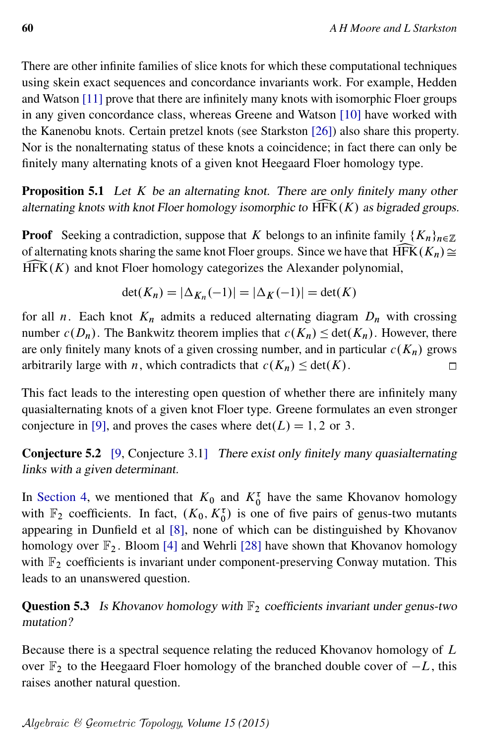There are other infinite families of slice knots for which these computational techniques using skein exact sequences and concordance invariants work. For example, Hedden and Watson [\[11\]](#page-19-13) prove that there are infinitely many knots with isomorphic Floer groups in any given concordance class, whereas Greene and Watson [\[10\]](#page-19-12) have worked with the Kanenobu knots. Certain pretzel knots (see Starkston [\[26\]](#page-20-3)) also share this property. Nor is the nonalternating status of these knots a coincidence; in fact there can only be finitely many alternating knots of a given knot Heegaard Floer homology type.

**Proposition 5.1** Let  $K$  be an alternating knot. There are only finitely many other alternating knots with knot Floer homology isomorphic to  $\widehat{HFK}(K)$  as bigraded groups.

**Proof** Seeking a contradiction, suppose that K belongs to an infinite family  $\{K_n\}_{n\in\mathbb{Z}}$ of alternating knots sharing the same knot Floer groups. Since we have that  $\widehat{HFK}(K_n) \cong$  $HFK(K)$  and knot Floer homology categorizes the Alexander polynomial,

$$
\det(K_n) = |\Delta_{K_n}(-1)| = |\Delta_K(-1)| = \det(K)
$$

for all *n*. Each knot  $K_n$  admits a reduced alternating diagram  $D_n$  with crossing number  $c(D_n)$ . The Bankwitz theorem implies that  $c(K_n) \leq \det(K_n)$ . However, there are only finitely many knots of a given crossing number, and in particular  $c(K_n)$  grows arbitrarily large with *n*, which contradicts that  $c(K_n) \leq \det(K)$ .  $\Box$ 

This fact leads to the interesting open question of whether there are infinitely many quasialternating knots of a given knot Floer type. Greene formulates an even stronger conjecture in [\[9\]](#page-19-17), and proves the cases where  $det(L) = 1, 2$  or 3.

Conjecture 5.2 [\[9,](#page-19-17) Conjecture 3.1] There exist only finitely many quasialternating links with a given determinant.

In [Section 4,](#page-11-0) we mentioned that  $K_0$  and  $K_0^{\tau}$  have the same Khovanov homology with  $\mathbb{F}_2$  coefficients. In fact,  $(K_0, K_0^{\tau})$  is one of five pairs of genus-two mutants appearing in Dunfield et al [\[8\]](#page-19-1), none of which can be distinguished by Khovanov homology over  $\mathbb{F}_2$ . Bloom [\[4\]](#page-18-1) and Wehrli [\[28\]](#page-20-0) have shown that Khovanov homology with  $\mathbb{F}_2$  coefficients is invariant under component-preserving Conway mutation. This leads to an unanswered question.

**Question 5.3** Is Khovanov homology with  $\mathbb{F}_2$  coefficients invariant under genus-two mutation?

Because there is a spectral sequence relating the reduced Khovanov homology of L over  $\mathbb{F}_2$  to the Heegaard Floer homology of the branched double cover of  $-L$ , this raises another natural question.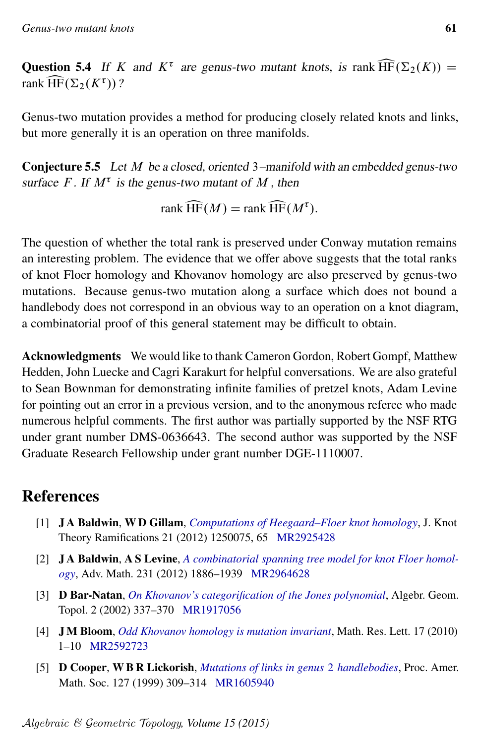**Question 5.4** If K and  $K^{\tau}$  are genus-two mutant knots, is rank  $\widehat{HF}(\Sigma_2(K)) = \text{rank }\widehat{HF}(\Sigma_2(K^{\tau}))$ ? rank  $\widehat{\text{HF}}(\Sigma_2(K^{\tau}))$  ?

Genus-two mutation provides a method for producing closely related knots and links, but more generally it is an operation on three manifolds.

Conjecture 5.5 Let M be a closed, oriented 3–manifold with an embedded genus-two surface F. If  $M^{\tau}$  is the genus-two mutant of M, then

rank  $\widehat{\text{HF}}(M) = \text{rank }\widehat{\text{HF}}(M^{\tau}).$ 

The question of whether the total rank is preserved under Conway mutation remains an interesting problem. The evidence that we offer above suggests that the total ranks of knot Floer homology and Khovanov homology are also preserved by genus-two mutations. Because genus-two mutation along a surface which does not bound a handlebody does not correspond in an obvious way to an operation on a knot diagram, a combinatorial proof of this general statement may be difficult to obtain.

Acknowledgments We would like to thank Cameron Gordon, Robert Gompf, Matthew Hedden, John Luecke and Cagri Karakurt for helpful conversations. We are also grateful to Sean Bownman for demonstrating infinite families of pretzel knots, Adam Levine for pointing out an error in a previous version, and to the anonymous referee who made numerous helpful comments. The first author was partially supported by the NSF RTG under grant number DMS-0636643. The second author was supported by the NSF Graduate Research Fellowship under grant number DGE-1110007.

# References

- <span id="page-18-0"></span>[1] J A Baldwin, W D Gillam, *[Computations of Heegaard–Floer knot homology](http://dx.doi.org/10.1142/S0218216512500757)*, J. Knot Theory Ramifications 21 (2012) 1250075, 65 [MR2925428](http://www.ams.org/mathscinet-getitem?mr=2925428)
- <span id="page-18-2"></span>[2] J A Baldwin, A S Levine, *[A combinatorial spanning tree model for knot Floer homol](http://dx.doi.org/10.1016/j.aim.2012.06.006)[ogy](http://dx.doi.org/10.1016/j.aim.2012.06.006)*, Adv. Math. 231 (2012) 1886–1939 [MR2964628](http://www.ams.org/mathscinet-getitem?mr=2964628)
- <span id="page-18-4"></span>[3] D Bar-Natan, *[On Khovanov's categorification of the Jones polynomial](http://dx.doi.org/10.2140/agt.2002.2.337)*, Algebr. Geom. Topol. 2 (2002) 337–370 [MR1917056](http://www.ams.org/mathscinet-getitem?mr=1917056)
- <span id="page-18-1"></span>[4] J M Bloom, *[Odd Khovanov homology is mutation invariant](http://dx.doi.org/10.4310/MRL.2010.v17.n1.a1)*, Math. Res. Lett. 17 (2010) 1–10 [MR2592723](http://www.ams.org/mathscinet-getitem?mr=2592723)
- <span id="page-18-3"></span>[5] D Cooper, W B R Lickorish, *[Mutations of links in genus](http://dx.doi.org/10.1090/S0002-9939-99-04871-6)* 2 *handlebodies*, Proc. Amer. Math. Soc. 127 (1999) 309–314 [MR1605940](http://www.ams.org/mathscinet-getitem?mr=1605940)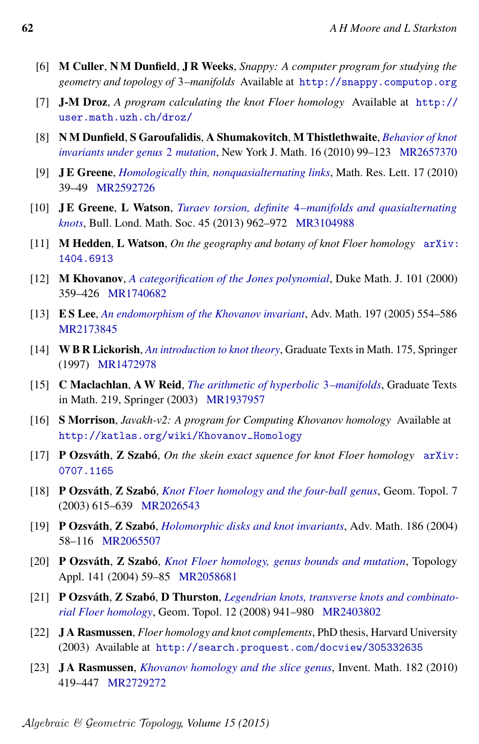- <span id="page-19-2"></span>[6] M Culler, N M Dunfield, J R Weeks, *Snappy: A computer program for studying the geometry and topology of* 3*–manifolds* Available at <http://snappy.computop.org>
- <span id="page-19-5"></span>[7] J-M Droz, *A program calculating the knot Floer homology* Available at [http://](http://user.math.uzh.ch/droz/) [user.math.uzh.ch/droz/](http://user.math.uzh.ch/droz/)
- <span id="page-19-1"></span>[8] N M Dunfield, S Garoufalidis, A Shumakovitch, M Thistlethwaite, *[Behavior of knot](http://nyjm.albany.edu:8000/j/2010/16_99.html) [invariants under genus](http://nyjm.albany.edu:8000/j/2010/16_99.html)* 2 *mutation*, New York J. Math. 16 (2010) 99–123 [MR2657370](http://www.ams.org/mathscinet-getitem?mr=2657370)
- <span id="page-19-17"></span>[9] J E Greene, *[Homologically thin, nonquasialternating links](http://dx.doi.org/10.4310/MRL.2010.v17.n1.a4)*, Math. Res. Lett. 17 (2010) 39–49 [MR2592726](http://www.ams.org/mathscinet-getitem?mr=2592726)
- <span id="page-19-12"></span>[10] J E Greene, L Watson, *Turaev torsion, definite* 4*[–manifolds and quasialternating](http://dx.doi.org/10.1112/blms/bds096) [knots](http://dx.doi.org/10.1112/blms/bds096)*, Bull. Lond. Math. Soc. 45 (2013) 962–972 [MR3104988](http://www.ams.org/mathscinet-getitem?mr=3104988)
- <span id="page-19-13"></span>[11] M Hedden, L Watson, *On the geography and botany of knot Floer homology* [arXiv:](http://arxiv.org/abs/1404.6913) [1404.6913](http://arxiv.org/abs/1404.6913)
- <span id="page-19-15"></span>[12] M Khovanov, *[A categorification of the Jones polynomial](http://dx.doi.org/10.1215/S0012-7094-00-10131-7)*, Duke Math. J. 101 (2000) 359–426 [MR1740682](http://www.ams.org/mathscinet-getitem?mr=1740682)
- <span id="page-19-16"></span>[13] E S Lee, *[An endomorphism of the Khovanov invariant](http://dx.doi.org/10.1016/j.aim.2004.10.015)*, Adv. Math. 197 (2005) 554–586 [MR2173845](http://www.ams.org/mathscinet-getitem?mr=2173845)
- <span id="page-19-6"></span>[14] W B R Lickorish, *[An introduction to knot theory](http://dx.doi.org/10.1007/978-1-4612-0691-0)*, Graduate Texts in Math. 175, Springer (1997) [MR1472978](http://www.ams.org/mathscinet-getitem?mr=1472978)
- <span id="page-19-3"></span>[15] C Maclachlan, A W Reid, *[The arithmetic of hyperbolic](http://dx.doi.org/10.1007/978-1-4757-6720-9)* 3*–manifolds*, Graduate Texts in Math. 219, Springer (2003) [MR1937957](http://www.ams.org/mathscinet-getitem?mr=1937957)
- <span id="page-19-4"></span>[16] S Morrison, *Javakh-v2: A program for Computing Khovanov homology* Available at [http://katlas.org/wiki/Khovanov\\_Homology](http://katlas.org/wiki/Khovanov_Homology)
- <span id="page-19-11"></span>[17] P Ozsváth, Z Szabó, *On the skein exact squence for knot Floer homology* [arXiv:](http://arxiv.org/abs/0707.1165) [0707.1165](http://arxiv.org/abs/0707.1165)
- <span id="page-19-7"></span>[18] P Ozsváth, Z Szabó, *[Knot Floer homology and the four-ball genus](http://dx.doi.org/10.2140/gt.2003.7.615)*, Geom. Topol. 7 (2003) 615–639 [MR2026543](http://www.ams.org/mathscinet-getitem?mr=2026543)
- <span id="page-19-9"></span>[19] P Ozsváth, Z Szabó, *[Holomorphic disks and knot invariants](http://dx.doi.org/10.1016/j.aim.2003.05.001)*, Adv. Math. 186 (2004) 58–116 [MR2065507](http://www.ams.org/mathscinet-getitem?mr=2065507)
- <span id="page-19-0"></span>[20] P Ozsváth, Z Szabó, *[Knot Floer homology, genus bounds and mutation](http://dx.doi.org/10.1016/j.topol.2003.09.009)*, Topology Appl. 141 (2004) 59–85 [MR2058681](http://www.ams.org/mathscinet-getitem?mr=2058681)
- <span id="page-19-14"></span>[21] P Ozsváth, Z Szabó, D Thurston, *[Legendrian knots, transverse knots and combinato](http://dx.doi.org/10.2140/gt.2008.12.941)[rial Floer homology](http://dx.doi.org/10.2140/gt.2008.12.941)*, Geom. Topol. 12 (2008) 941–980 [MR2403802](http://www.ams.org/mathscinet-getitem?mr=2403802)
- <span id="page-19-10"></span>[22] J A Rasmussen, *Floer homology and knot complements*, PhD thesis, Harvard University (2003) Available at <http://search.proquest.com/docview/305332635>
- <span id="page-19-8"></span>[23] J A Rasmussen, *[Khovanov homology and the slice genus](http://dx.doi.org/10.1007/s00222-010-0275-6)*, Invent. Math. 182 (2010) 419–447 [MR2729272](http://www.ams.org/mathscinet-getitem?mr=2729272)